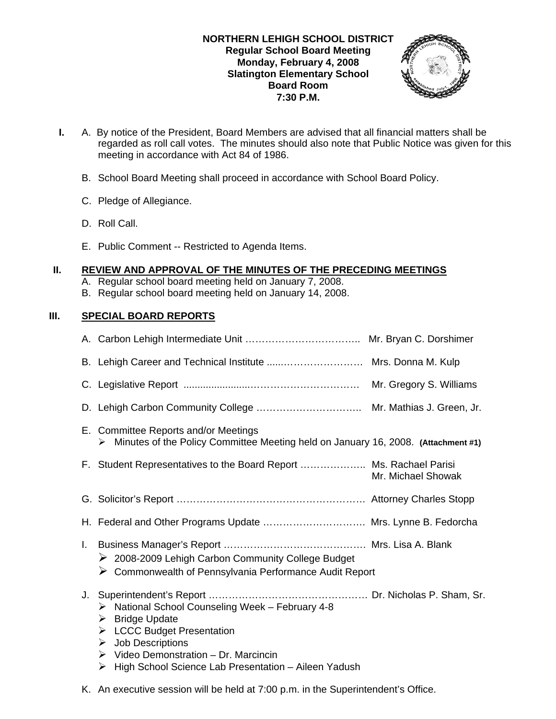## **NORTHERN LEHIGH SCHOOL DISTRICT Regular School Board Meeting Monday, February 4, 2008 Slatington Elementary School Board Room 7:30 P.M.**



- **I.** A. By notice of the President, Board Members are advised that all financial matters shall be regarded as roll call votes. The minutes should also note that Public Notice was given for this meeting in accordance with Act 84 of 1986.
	- B. School Board Meeting shall proceed in accordance with School Board Policy.
	- C. Pledge of Allegiance.
	- D. Roll Call.
	- E. Public Comment -- Restricted to Agenda Items.

## **II. REVIEW AND APPROVAL OF THE MINUTES OF THE PRECEDING MEETINGS**

- A. Regular school board meeting held on January 7, 2008.
- B. Regular school board meeting held on January 14, 2008.

# **III. SPECIAL BOARD REPORTS**

|    | B. Lehigh Career and Technical Institute  Mrs. Donna M. Kulp                                                                                                                                                                                                                 |                         |
|----|------------------------------------------------------------------------------------------------------------------------------------------------------------------------------------------------------------------------------------------------------------------------------|-------------------------|
|    |                                                                                                                                                                                                                                                                              | Mr. Gregory S. Williams |
|    |                                                                                                                                                                                                                                                                              |                         |
|    | E. Committee Reports and/or Meetings<br>Minutes of the Policy Committee Meeting held on January 16, 2008. (Attachment #1)<br>≻                                                                                                                                               |                         |
|    | F. Student Representatives to the Board Report  Ms. Rachael Parisi                                                                                                                                                                                                           | Mr. Michael Showak      |
|    |                                                                                                                                                                                                                                                                              |                         |
|    | H. Federal and Other Programs Update  Mrs. Lynne B. Fedorcha                                                                                                                                                                                                                 |                         |
|    | ▶ 2008-2009 Lehigh Carbon Community College Budget<br>$\triangleright$ Commonwealth of Pennsylvania Performance Audit Report                                                                                                                                                 |                         |
| J. | > National School Counseling Week - February 4-8<br><b>Bridge Update</b><br>➤<br>> LCCC Budget Presentation<br><b>Job Descriptions</b><br>➤<br>$\triangleright$ Video Demonstration – Dr. Marcincin<br>$\triangleright$ High School Science Lab Presentation – Aileen Yadush |                         |

K. An executive session will be held at 7:00 p.m. in the Superintendent's Office.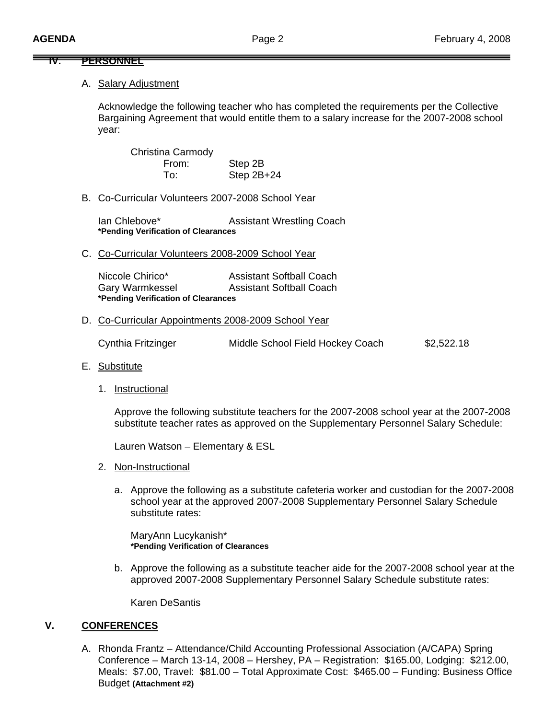#### **IV. PERSONNEL**

#### A. Salary Adjustment

Acknowledge the following teacher who has completed the requirements per the Collective Bargaining Agreement that would entitle them to a salary increase for the 2007-2008 school year:

 Christina Carmody From: Step 2B To: Step 2B+24

#### B. Co-Curricular Volunteers 2007-2008 School Year

Ian Chlebove\* **Assistant Wrestling Coach \*Pending Verification of Clearances** 

C. Co-Curricular Volunteers 2008-2009 School Year

| Niccole Chirico*                    | <b>Assistant Softball Coach</b> |
|-------------------------------------|---------------------------------|
| <b>Gary Warmkessel</b>              | <b>Assistant Softball Coach</b> |
| *Pending Verification of Clearances |                                 |

D. Co-Curricular Appointments 2008-2009 School Year

Cynthia Fritzinger Middle School Field Hockey Coach \$2,522.18

- E. Substitute
	- 1. Instructional

 Approve the following substitute teachers for the 2007-2008 school year at the 2007-2008 substitute teacher rates as approved on the Supplementary Personnel Salary Schedule:

Lauren Watson – Elementary & ESL

- 2. Non-Instructional
	- a. Approve the following as a substitute cafeteria worker and custodian for the 2007-2008 school year at the approved 2007-2008 Supplementary Personnel Salary Schedule substitute rates:

 MaryAnn Lucykanish\* **\*Pending Verification of Clearances**

b. Approve the following as a substitute teacher aide for the 2007-2008 school year at the approved 2007-2008 Supplementary Personnel Salary Schedule substitute rates:

Karen DeSantis

# **V. CONFERENCES**

A. Rhonda Frantz – Attendance/Child Accounting Professional Association (A/CAPA) Spring Conference – March 13-14, 2008 – Hershey, PA – Registration: \$165.00, Lodging: \$212.00, Meals: \$7.00, Travel: \$81.00 – Total Approximate Cost: \$465.00 – Funding: Business Office Budget **(Attachment #2)**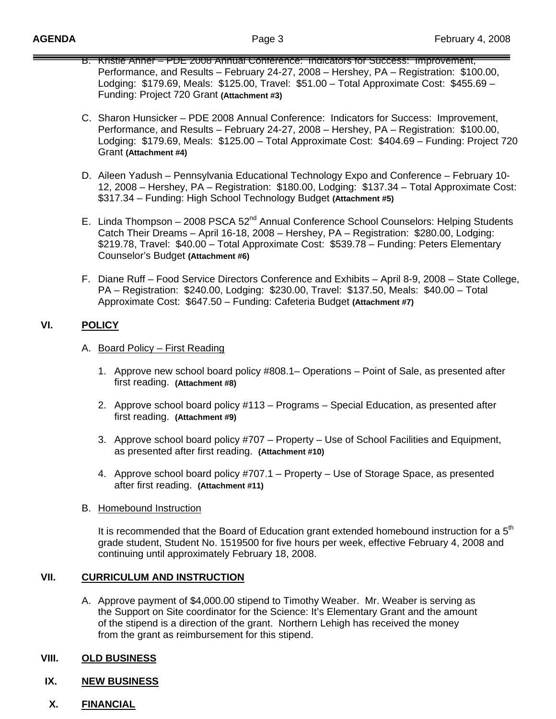- B. Kristie Ahner PDE 2008 Annual Conference: Indicators for Success: Improvement, Performance, and Results – February 24-27, 2008 – Hershey, PA – Registration: \$100.00, Lodging: \$179.69, Meals: \$125.00, Travel: \$51.00 – Total Approximate Cost: \$455.69 – Funding: Project 720 Grant **(Attachment #3)**
- C. Sharon Hunsicker PDE 2008 Annual Conference: Indicators for Success: Improvement, Performance, and Results – February 24-27, 2008 – Hershey, PA – Registration: \$100.00, Lodging: \$179.69, Meals: \$125.00 – Total Approximate Cost: \$404.69 – Funding: Project 720 Grant **(Attachment #4)**
- D. Aileen Yadush Pennsylvania Educational Technology Expo and Conference February 10- 12, 2008 – Hershey, PA – Registration: \$180.00, Lodging: \$137.34 – Total Approximate Cost: \$317.34 – Funding: High School Technology Budget **(Attachment #5)**
- E. Linda Thompson 2008 PSCA 52<sup>nd</sup> Annual Conference School Counselors: Helping Students Catch Their Dreams – April 16-18, 2008 – Hershey, PA – Registration: \$280.00, Lodging: \$219.78, Travel: \$40.00 – Total Approximate Cost: \$539.78 – Funding: Peters Elementary Counselor's Budget **(Attachment #6)**
- F. Diane Ruff Food Service Directors Conference and Exhibits April 8-9, 2008 State College, PA – Registration: \$240.00, Lodging: \$230.00, Travel: \$137.50, Meals: \$40.00 – Total Approximate Cost: \$647.50 – Funding: Cafeteria Budget **(Attachment #7)**

# **VI. POLICY**

- A. Board Policy First Reading
	- 1. Approve new school board policy #808.1– Operations Point of Sale, as presented after first reading. **(Attachment #8)**
	- 2. Approve school board policy #113 Programs Special Education, as presented after first reading. **(Attachment #9)**
	- 3. Approve school board policy #707 Property Use of School Facilities and Equipment, as presented after first reading. **(Attachment #10)**
	- 4. Approve school board policy #707.1 Property Use of Storage Space, as presented after first reading. **(Attachment #11)**

### B. Homebound Instruction

It is recommended that the Board of Education grant extended homebound instruction for a  $5<sup>th</sup>$ grade student, Student No. 1519500 for five hours per week, effective February 4, 2008 and continuing until approximately February 18, 2008.

### **VII. CURRICULUM AND INSTRUCTION**

A. Approve payment of \$4,000.00 stipend to Timothy Weaber. Mr. Weaber is serving as the Support on Site coordinator for the Science: It's Elementary Grant and the amount of the stipend is a direction of the grant. Northern Lehigh has received the money from the grant as reimbursement for this stipend.

### **VIII. OLD BUSINESS**

### **IX. NEW BUSINESS**

**X. FINANCIAL**